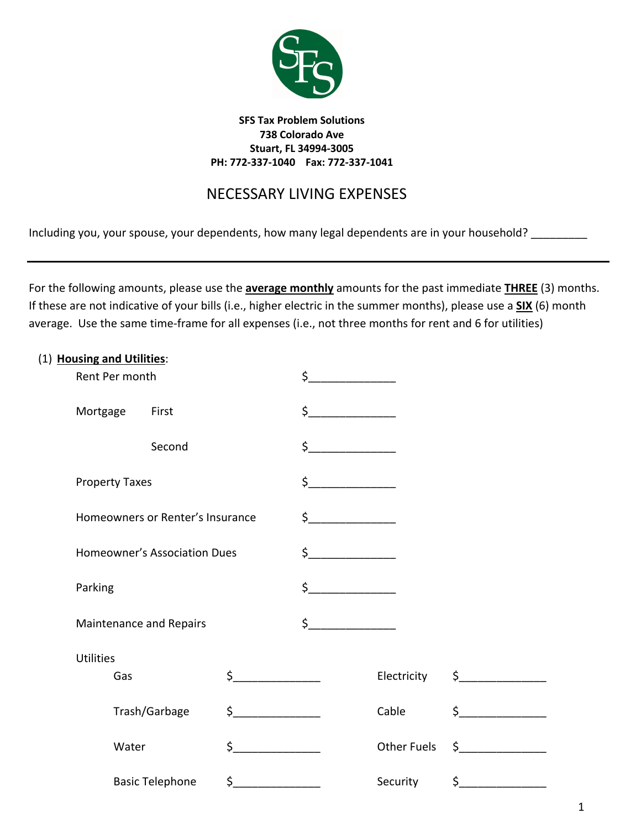

# NECESSARY LIVING EXPENSES

Including you, your spouse, your dependents, how many legal dependents are in your household? \_\_\_\_\_\_\_\_\_\_\_

For the following amounts, please use the **average monthly** amounts for the past immediate **THREE** (3) months. If these are not indicative of your bills (i.e., higher electric in the summer months), please use a **SIX** (6) month average. Use the same time-frame for all expenses (i.e., not three months for rent and 6 for utilities)

| (1) Housing and Utilities: |                  |                                                                                                               |                        |          |                         |                    |               |  |
|----------------------------|------------------|---------------------------------------------------------------------------------------------------------------|------------------------|----------|-------------------------|--------------------|---------------|--|
|                            | Rent Per month   |                                                                                                               |                        |          | $\overline{\mathsf{S}}$ |                    |               |  |
|                            | Mortgage         |                                                                                                               | First                  |          | $\overline{\mathsf{S}}$ |                    |               |  |
|                            |                  |                                                                                                               | Second                 |          | $\zeta$                 |                    |               |  |
|                            |                  | <b>Property Taxes</b>                                                                                         |                        |          | $\zeta$ __              |                    |               |  |
|                            |                  | Homeowners or Renter's Insurance<br><b>Homeowner's Association Dues</b><br>Parking<br>Maintenance and Repairs |                        |          | $\frac{1}{2}$           |                    |               |  |
|                            |                  |                                                                                                               |                        |          | $\frac{1}{2}$           |                    |               |  |
|                            |                  |                                                                                                               |                        |          | \$                      |                    |               |  |
|                            |                  |                                                                                                               |                        |          | \$                      |                    |               |  |
|                            | <b>Utilities</b> |                                                                                                               |                        |          |                         |                    |               |  |
|                            |                  | Gas                                                                                                           |                        | $\sharp$ |                         | Electricity        | $\sharp$      |  |
|                            |                  |                                                                                                               | Trash/Garbage          | $\sharp$ |                         | Cable              | $\zeta$       |  |
|                            |                  | Water                                                                                                         |                        | Ś.       |                         | <b>Other Fuels</b> | $\frac{1}{2}$ |  |
|                            |                  |                                                                                                               | <b>Basic Telephone</b> | $\sharp$ |                         | Security           | $\sharp$      |  |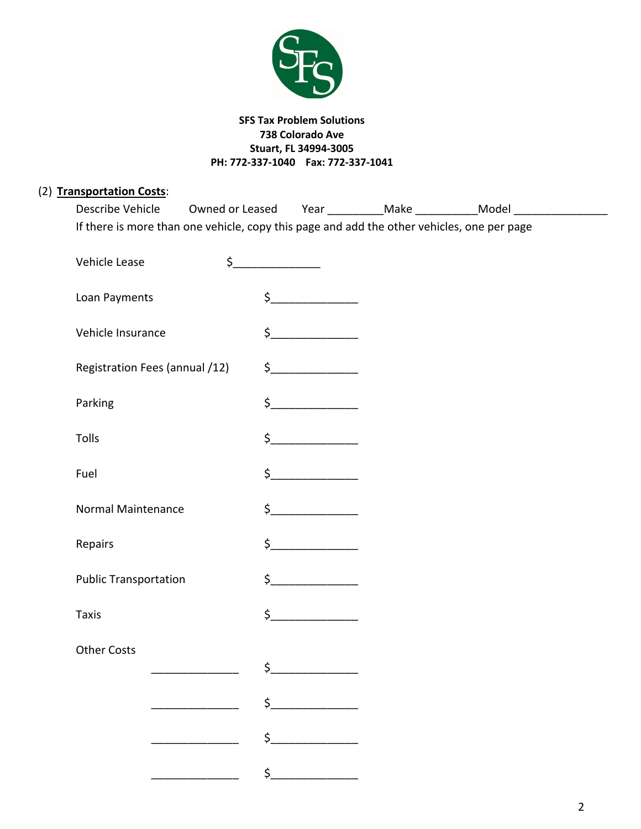

| (2) Transportation Costs:<br>Describe Vehicle                                              |                                            |                                                                                                                                                                                                                                                                                                                                                                                                                                                                                                                                                        | Owned or Leased Year ____________Make ______________Model ______________________ |  |
|--------------------------------------------------------------------------------------------|--------------------------------------------|--------------------------------------------------------------------------------------------------------------------------------------------------------------------------------------------------------------------------------------------------------------------------------------------------------------------------------------------------------------------------------------------------------------------------------------------------------------------------------------------------------------------------------------------------------|----------------------------------------------------------------------------------|--|
| If there is more than one vehicle, copy this page and add the other vehicles, one per page |                                            |                                                                                                                                                                                                                                                                                                                                                                                                                                                                                                                                                        |                                                                                  |  |
| Vehicle Lease                                                                              | $\zeta$                                    |                                                                                                                                                                                                                                                                                                                                                                                                                                                                                                                                                        |                                                                                  |  |
| Loan Payments                                                                              |                                            | $\begin{array}{c} \n \uparrow \text{---} \quad \text{---} \quad \text{---} \quad \text{---} \quad \text{---} \quad \text{---} \quad \text{---} \quad \text{---} \quad \text{---} \quad \text{---} \quad \text{---} \quad \text{---} \quad \text{---} \quad \text{---} \quad \text{---} \quad \text{---} \quad \text{---} \quad \text{---} \quad \text{---} \quad \text{---} \quad \text{---} \quad \text{---} \quad \text{---} \quad \text{---} \quad \text{---} \quad \text{---} \quad \text{---} \quad \text{---} \quad \text{---} \quad \text{---}$ |                                                                                  |  |
| Vehicle Insurance                                                                          |                                            | $\zeta$                                                                                                                                                                                                                                                                                                                                                                                                                                                                                                                                                |                                                                                  |  |
| Registration Fees (annual /12)                                                             |                                            | $\frac{1}{2}$                                                                                                                                                                                                                                                                                                                                                                                                                                                                                                                                          |                                                                                  |  |
| Parking                                                                                    |                                            | $\begin{picture}(20,20) \put(0,0){\line(1,0){10}} \put(15,0){\line(1,0){10}} \put(15,0){\line(1,0){10}} \put(15,0){\line(1,0){10}} \put(15,0){\line(1,0){10}} \put(15,0){\line(1,0){10}} \put(15,0){\line(1,0){10}} \put(15,0){\line(1,0){10}} \put(15,0){\line(1,0){10}} \put(15,0){\line(1,0){10}} \put(15,0){\line(1,0){10}} \put(15,0){\line(1$                                                                                                                                                                                                    |                                                                                  |  |
| Tolls                                                                                      |                                            | $\zeta$                                                                                                                                                                                                                                                                                                                                                                                                                                                                                                                                                |                                                                                  |  |
| Fuel                                                                                       |                                            | $\zeta$                                                                                                                                                                                                                                                                                                                                                                                                                                                                                                                                                |                                                                                  |  |
| Normal Maintenance                                                                         |                                            | $\sharp$                                                                                                                                                                                                                                                                                                                                                                                                                                                                                                                                               |                                                                                  |  |
| Repairs                                                                                    |                                            | $\frac{1}{2}$                                                                                                                                                                                                                                                                                                                                                                                                                                                                                                                                          |                                                                                  |  |
| <b>Public Transportation</b>                                                               |                                            | $\zeta$                                                                                                                                                                                                                                                                                                                                                                                                                                                                                                                                                |                                                                                  |  |
| <b>Taxis</b>                                                                               | \$                                         |                                                                                                                                                                                                                                                                                                                                                                                                                                                                                                                                                        |                                                                                  |  |
| <b>Other Costs</b>                                                                         | $\mathsf{S}$ , and the set of $\mathsf{S}$ |                                                                                                                                                                                                                                                                                                                                                                                                                                                                                                                                                        |                                                                                  |  |
|                                                                                            |                                            | $\begin{array}{c}\n5\n\end{array}$                                                                                                                                                                                                                                                                                                                                                                                                                                                                                                                     |                                                                                  |  |
|                                                                                            |                                            | $\frac{1}{2}$                                                                                                                                                                                                                                                                                                                                                                                                                                                                                                                                          |                                                                                  |  |
|                                                                                            |                                            |                                                                                                                                                                                                                                                                                                                                                                                                                                                                                                                                                        |                                                                                  |  |
|                                                                                            |                                            | $\frac{1}{2}$                                                                                                                                                                                                                                                                                                                                                                                                                                                                                                                                          |                                                                                  |  |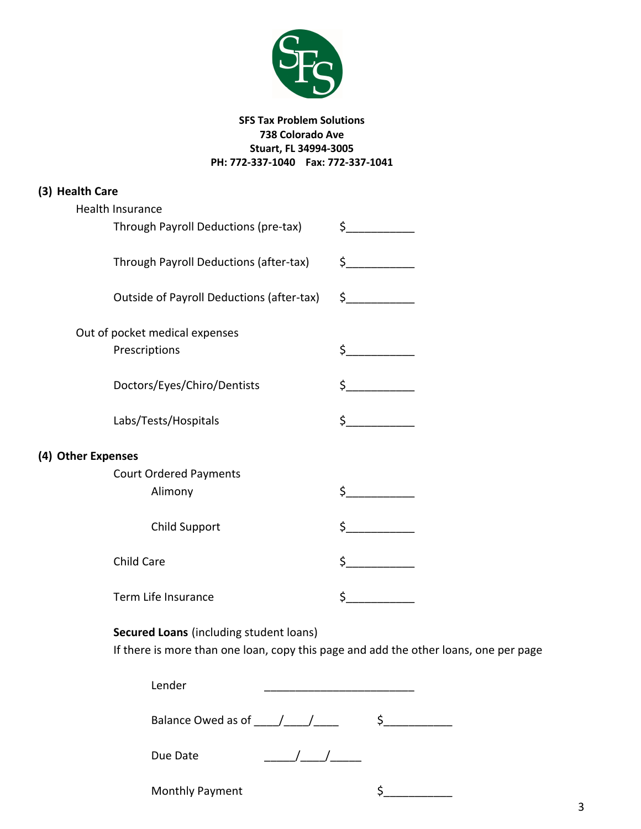

| (3) Health Care                           |               |  |  |  |  |
|-------------------------------------------|---------------|--|--|--|--|
| Health Insurance                          |               |  |  |  |  |
| Through Payroll Deductions (pre-tax)      | $\frac{1}{2}$ |  |  |  |  |
| Through Payroll Deductions (after-tax)    | $\frac{1}{2}$ |  |  |  |  |
| Outside of Payroll Deductions (after-tax) | $\frac{1}{2}$ |  |  |  |  |
| Out of pocket medical expenses            |               |  |  |  |  |
| Prescriptions                             | \$            |  |  |  |  |
| Doctors/Eyes/Chiro/Dentists               |               |  |  |  |  |
| Labs/Tests/Hospitals                      | $\frac{1}{2}$ |  |  |  |  |
| (4) Other Expenses                        |               |  |  |  |  |
| <b>Court Ordered Payments</b>             |               |  |  |  |  |
| Alimony                                   | $\zeta$       |  |  |  |  |
| Child Support                             | \$            |  |  |  |  |
| <b>Child Care</b>                         | \$            |  |  |  |  |
| Term Life Insurance                       | \$            |  |  |  |  |

## **Secured Loans** (including student loans)

If there is more than one loan, copy this page and add the other loans, one per page

| Lender                 |  |
|------------------------|--|
| Balance Owed as of / / |  |
| Due Date               |  |
| Monthly Payment        |  |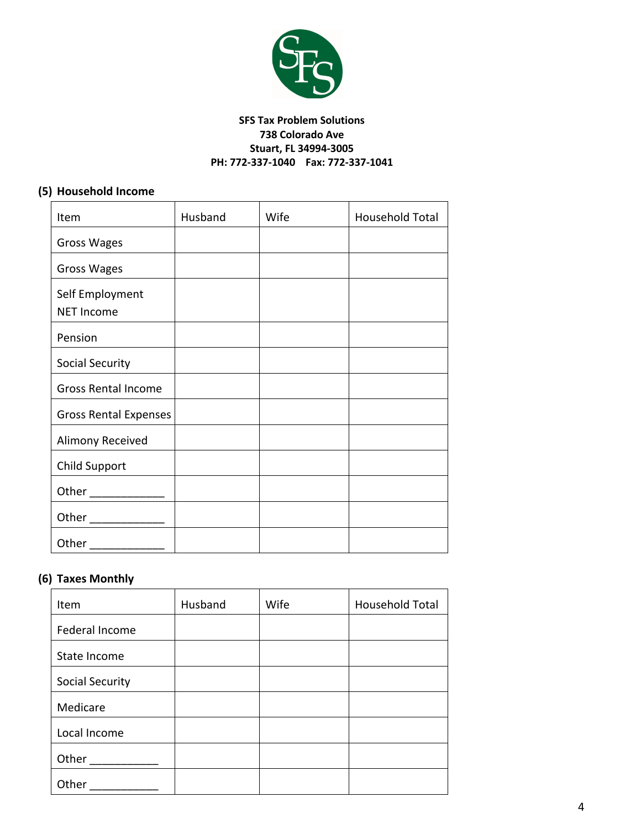

### **(5) Household Income**

| Item                                 | Husband | Wife | Household Total |
|--------------------------------------|---------|------|-----------------|
| <b>Gross Wages</b>                   |         |      |                 |
| Gross Wages                          |         |      |                 |
| Self Employment<br><b>NET Income</b> |         |      |                 |
| Pension                              |         |      |                 |
| <b>Social Security</b>               |         |      |                 |
| Gross Rental Income                  |         |      |                 |
| <b>Gross Rental Expenses</b>         |         |      |                 |
| Alimony Received                     |         |      |                 |
| <b>Child Support</b>                 |         |      |                 |
|                                      |         |      |                 |
| Other ______________                 |         |      |                 |
| Other                                |         |      |                 |

## **(6) Taxes Monthly**

| Item                   | Husband | Wife | Household Total |
|------------------------|---------|------|-----------------|
| Federal Income         |         |      |                 |
| State Income           |         |      |                 |
| <b>Social Security</b> |         |      |                 |
| Medicare               |         |      |                 |
| Local Income           |         |      |                 |
| Other                  |         |      |                 |
| Other                  |         |      |                 |